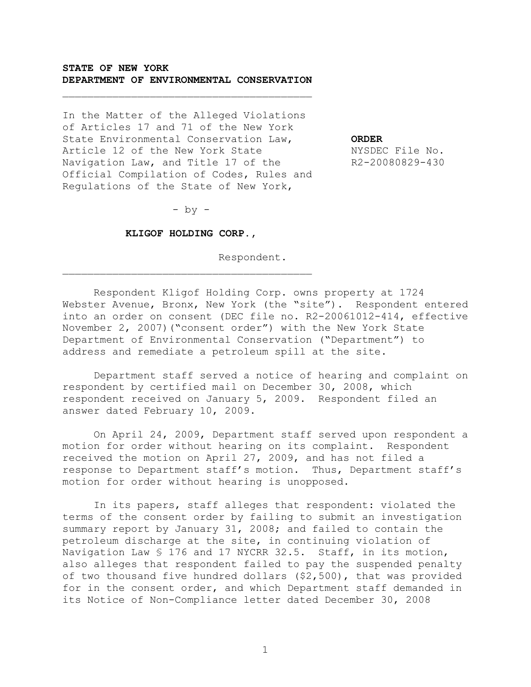#### **STATE OF NEW YORK DEPARTMENT OF ENVIRONMENTAL CONSERVATION**

In the Matter of the Alleged Violations of Articles 17 and 71 of the New York State Environmental Conservation Law, Article 12 of the New York State Navigation Law, and Title 17 of the Official Compilation of Codes, Rules and Regulations of the State of New York,

**ORDER**

NYSDEC File No. R2-20080829-430

 $-$  by  $-$ 

#### **KLIGOF HOLDING CORP.,**

 $\mathcal{L}_\text{max}$  and  $\mathcal{L}_\text{max}$  and  $\mathcal{L}_\text{max}$ 

Respondent.

Respondent Kligof Holding Corp. owns property at 1724 Webster Avenue, Bronx, New York (the "site"). Respondent entered into an order on consent (DEC file no. R2-20061012-414, effective November 2, 2007)("consent order") with the New York State Department of Environmental Conservation ("Department") to address and remediate a petroleum spill at the site.

Department staff served a notice of hearing and complaint on respondent by certified mail on December 30, 2008, which respondent received on January 5, 2009. Respondent filed an answer dated February 10, 2009.

On April 24, 2009, Department staff served upon respondent a motion for order without hearing on its complaint. Respondent received the motion on April 27, 2009, and has not filed a response to Department staff's motion. Thus, Department staff's motion for order without hearing is unopposed.

In its papers, staff alleges that respondent: violated the terms of the consent order by failing to submit an investigation summary report by January 31, 2008; and failed to contain the petroleum discharge at the site, in continuing violation of Navigation Law § 176 and 17 NYCRR 32.5. Staff, in its motion, also alleges that respondent failed to pay the suspended penalty of two thousand five hundred dollars (\$2,500), that was provided for in the consent order, and which Department staff demanded in its Notice of Non-Compliance letter dated December 30, 2008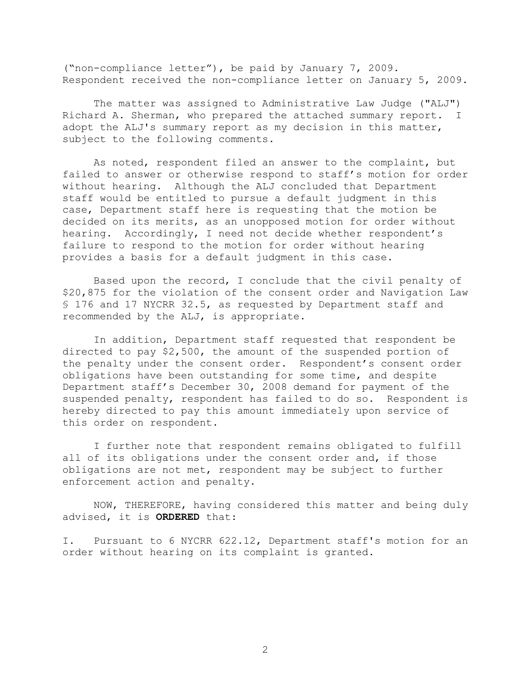("non-compliance letter"), be paid by January 7, 2009. Respondent received the non-compliance letter on January 5, 2009.

The matter was assigned to Administrative Law Judge ("ALJ") Richard A. Sherman, who prepared the attached summary report. I adopt the ALJ's summary report as my decision in this matter, subject to the following comments.

As noted, respondent filed an answer to the complaint, but failed to answer or otherwise respond to staff's motion for order without hearing. Although the ALJ concluded that Department staff would be entitled to pursue a default judgment in this case, Department staff here is requesting that the motion be decided on its merits, as an unopposed motion for order without hearing. Accordingly, I need not decide whether respondent's failure to respond to the motion for order without hearing provides a basis for a default judgment in this case.

Based upon the record, I conclude that the civil penalty of \$20,875 for the violation of the consent order and Navigation Law § 176 and 17 NYCRR 32.5, as requested by Department staff and recommended by the ALJ, is appropriate.

In addition, Department staff requested that respondent be directed to pay \$2,500, the amount of the suspended portion of the penalty under the consent order. Respondent's consent order obligations have been outstanding for some time, and despite Department staff's December 30, 2008 demand for payment of the suspended penalty, respondent has failed to do so. Respondent is hereby directed to pay this amount immediately upon service of this order on respondent.

I further note that respondent remains obligated to fulfill all of its obligations under the consent order and, if those obligations are not met, respondent may be subject to further enforcement action and penalty.

NOW, THEREFORE, having considered this matter and being duly advised, it is **ORDERED** that:

I. Pursuant to 6 NYCRR 622.12, Department staff's motion for an order without hearing on its complaint is granted.

2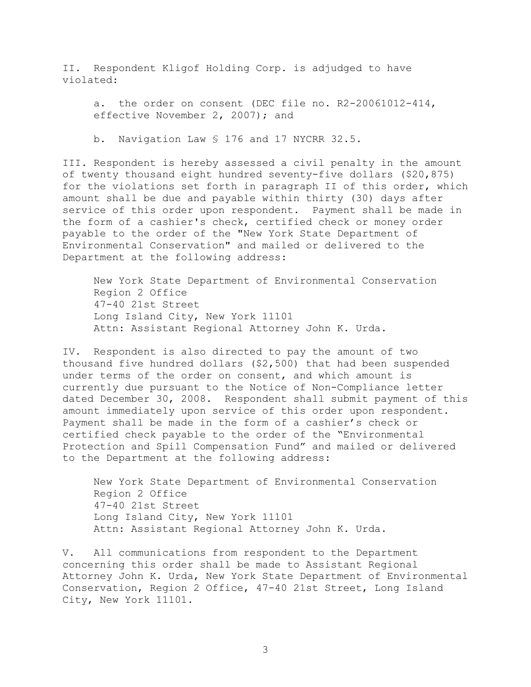II. Respondent Kligof Holding Corp. is adjudged to have violated:

a. the order on consent (DEC file no. R2-20061012-414, effective November 2, 2007); and

b. Navigation Law § 176 and 17 NYCRR 32.5.

III. Respondent is hereby assessed a civil penalty in the amount of twenty thousand eight hundred seventy-five dollars (\$20,875) for the violations set forth in paragraph II of this order, which amount shall be due and payable within thirty (30) days after service of this order upon respondent. Payment shall be made in the form of a cashier's check, certified check or money order payable to the order of the "New York State Department of Environmental Conservation" and mailed or delivered to the Department at the following address:

New York State Department of Environmental Conservation Region 2 Office 47-40 21st Street Long Island City, New York 11101 Attn: Assistant Regional Attorney John K. Urda.

IV. Respondent is also directed to pay the amount of two thousand five hundred dollars (\$2,500) that had been suspended under terms of the order on consent, and which amount is currently due pursuant to the Notice of Non-Compliance letter dated December 30, 2008. Respondent shall submit payment of this amount immediately upon service of this order upon respondent. Payment shall be made in the form of a cashier's check or certified check payable to the order of the "Environmental Protection and Spill Compensation Fund" and mailed or delivered to the Department at the following address:

New York State Department of Environmental Conservation Region 2 Office 47-40 21st Street Long Island City, New York 11101 Attn: Assistant Regional Attorney John K. Urda.

V. All communications from respondent to the Department concerning this order shall be made to Assistant Regional Attorney John K. Urda, New York State Department of Environmental Conservation, Region 2 Office, 47-40 21st Street, Long Island City, New York 11101.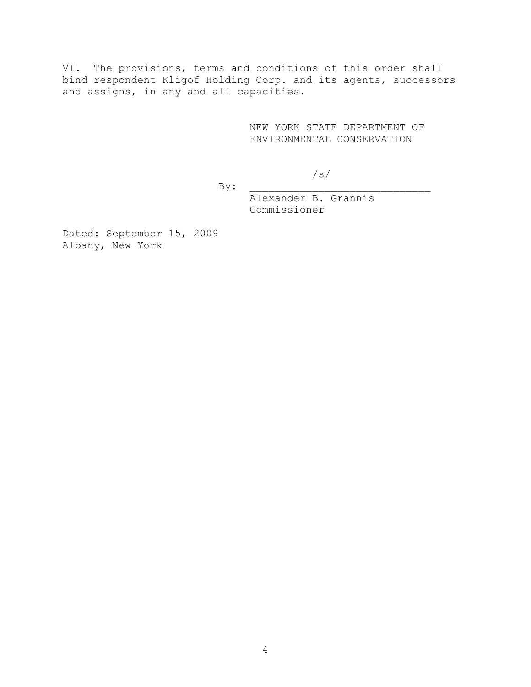VI. The provisions, terms and conditions of this order shall bind respondent Kligof Holding Corp. and its agents, successors and assigns, in any and all capacities.

> NEW YORK STATE DEPARTMENT OF ENVIRONMENTAL CONSERVATION

> > /s/

 $By:$ 

Alexander B. Grannis Commissioner

Dated: September 15, 2009 Albany, New York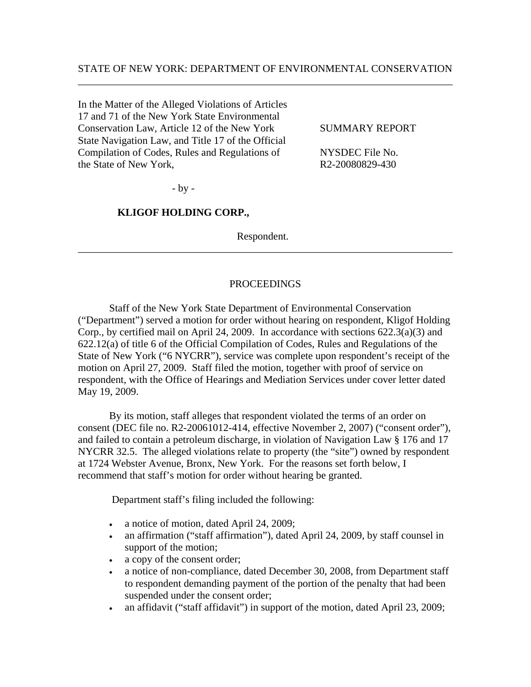# STATE OF NEW YORK: DEPARTMENT OF ENVIRONMENTAL CONSERVATION \_\_\_\_\_\_\_\_\_\_\_\_\_\_\_\_\_\_\_\_\_\_\_\_\_\_\_\_\_\_\_\_\_\_\_\_\_\_\_\_\_\_\_\_\_\_\_\_\_\_\_\_\_\_\_\_\_\_\_\_\_\_\_\_\_\_\_\_\_\_\_\_

In the Matter of the Alleged Violations of Articles 17 and 71 of the New York State Environmental Conservation Law, Article 12 of the New York State Navigation Law, and Title 17 of the Official Compilation of Codes, Rules and Regulations of the State of New York,

SUMMARY REPORT

NYSDEC File No. R2-20080829-430

- by -

## **KLIGOF HOLDING CORP.,**

Respondent. \_\_\_\_\_\_\_\_\_\_\_\_\_\_\_\_\_\_\_\_\_\_\_\_\_\_\_\_\_\_\_\_\_\_\_\_\_\_\_\_\_\_\_\_\_\_\_\_\_\_\_\_\_\_\_\_\_\_\_\_\_\_\_\_\_\_\_\_\_\_\_\_

### **PROCEEDINGS**

Staff of the New York State Department of Environmental Conservation ("Department") served a motion for order without hearing on respondent, Kligof Holding Corp., by certified mail on April 24, 2009. In accordance with sections 622.3(a)(3) and 622.12(a) of title 6 of the Official Compilation of Codes, Rules and Regulations of the State of New York ("6 NYCRR"), service was complete upon respondent's receipt of the motion on April 27, 2009. Staff filed the motion, together with proof of service on respondent, with the Office of Hearings and Mediation Services under cover letter dated May 19, 2009.

By its motion, staff alleges that respondent violated the terms of an order on consent (DEC file no. R2-20061012-414, effective November 2, 2007) ("consent order"), and failed to contain a petroleum discharge, in violation of Navigation Law § 176 and 17 NYCRR 32.5. The alleged violations relate to property (the "site") owned by respondent at 1724 Webster Avenue, Bronx, New York. For the reasons set forth below, I recommend that staff's motion for order without hearing be granted.

Department staff's filing included the following:

- a notice of motion, dated April 24, 2009;
- an affirmation ("staff affirmation"), dated April 24, 2009, by staff counsel in support of the motion;
- a copy of the consent order;
- a notice of non-compliance, dated December 30, 2008, from Department staff to respondent demanding payment of the portion of the penalty that had been suspended under the consent order;
- an affidavit ("staff affidavit") in support of the motion, dated April 23, 2009;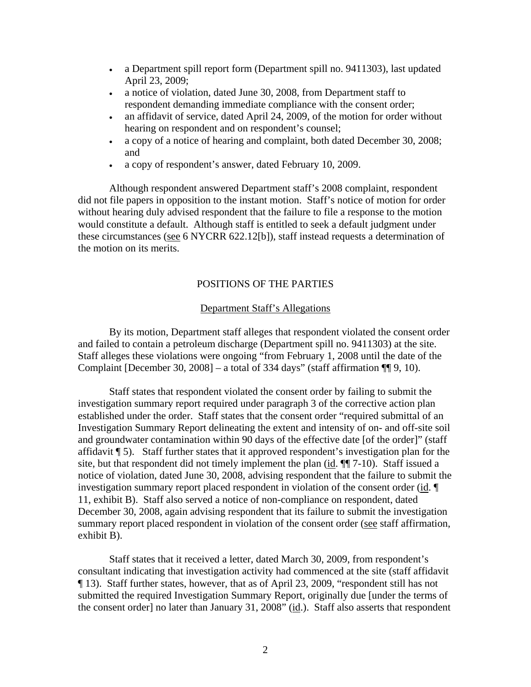- a Department spill report form (Department spill no. 9411303), last updated April 23, 2009;
- a notice of violation, dated June 30, 2008, from Department staff to respondent demanding immediate compliance with the consent order;
- an affidavit of service, dated April 24, 2009, of the motion for order without hearing on respondent and on respondent's counsel;
- a copy of a notice of hearing and complaint, both dated December 30, 2008; and
- a copy of respondent's answer, dated February 10, 2009.

Although respondent answered Department staff's 2008 complaint, respondent did not file papers in opposition to the instant motion. Staff's notice of motion for order without hearing duly advised respondent that the failure to file a response to the motion would constitute a default. Although staff is entitled to seek a default judgment under these circumstances (see  $6$  NYCRR  $622.12[b]$ ), staff instead requests a determination of the motion on its merits.

## POSITIONS OF THE PARTIES

### Department Staff's Allegations

By its motion, Department staff alleges that respondent violated the consent order and failed to contain a petroleum discharge (Department spill no. 9411303) at the site. Staff alleges these violations were ongoing "from February 1, 2008 until the date of the Complaint [December 30, 2008] – a total of 334 days" (staff affirmation  $\P\P$ 9, 10).

Staff states that respondent violated the consent order by failing to submit the investigation summary report required under paragraph 3 of the corrective action plan established under the order. Staff states that the consent order "required submittal of an Investigation Summary Report delineating the extent and intensity of on- and off-site soil and groundwater contamination within 90 days of the effective date [of the order]" (staff affidavit ¶ 5). Staff further states that it approved respondent's investigation plan for the site, but that respondent did not timely implement the plan (id.  $\P$  $7$ -10). Staff issued a notice of violation, dated June 30, 2008, advising respondent that the failure to submit the investigation summary report placed respondent in violation of the consent order (id.  $\P$ 11, exhibit B). Staff also served a notice of non-compliance on respondent, dated December 30, 2008, again advising respondent that its failure to submit the investigation summary report placed respondent in violation of the consent order (see staff affirmation, exhibit B).

Staff states that it received a letter, dated March 30, 2009, from respondent's consultant indicating that investigation activity had commenced at the site (staff affidavit ¶ 13). Staff further states, however, that as of April 23, 2009, "respondent still has not submitted the required Investigation Summary Report, originally due [under the terms of the consent order] no later than January 31, 2008" (id.). Staff also asserts that respondent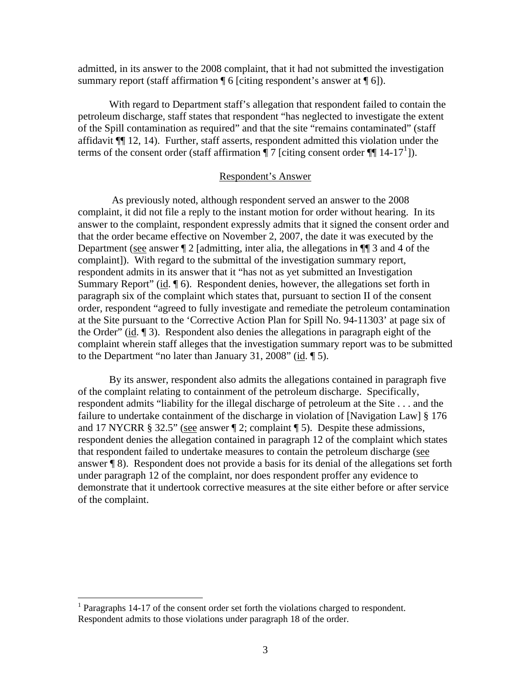admitted, in its answer to the 2008 complaint, that it had not submitted the investigation summary report (staff affirmation  $\P$  6 [citing respondent's answer at  $\P$  6]).

With regard to Department staff's allegation that respondent failed to contain the petroleum discharge, staff states that respondent "has neglected to investigate the extent of the Spill contamination as required" and that the site "remains contaminated" (staff affidavit ¶¶ 12, 14). Further, staff asserts, respondent admitted this violation under the terms of the consent order (staff affirmation  $\P$  7 [citing consent order  $\P$   $\P$  14-17<sup>1</sup>]).

## Respondent's Answer

 As previously noted, although respondent served an answer to the 2008 complaint, it did not file a reply to the instant motion for order without hearing. In its answer to the complaint, respondent expressly admits that it signed the consent order and that the order became effective on November 2, 2007, the date it was executed by the Department (see answer  $\P$  2 [admitting, inter alia, the allegations in  $\P$  3 and 4 of the complaint]). With regard to the submittal of the investigation summary report, respondent admits in its answer that it "has not as yet submitted an Investigation Summary Report" ( $id$ ,  $\P$  6). Respondent denies, however, the allegations set forth in paragraph six of the complaint which states that, pursuant to section II of the consent order, respondent "agreed to fully investigate and remediate the petroleum contamination at the Site pursuant to the 'Corrective Action Plan for Spill No. 94-11303' at page six of the Order" (id.  $\P$ 3). Respondent also denies the allegations in paragraph eight of the complaint wherein staff alleges that the investigation summary report was to be submitted to the Department "no later than January 31, 2008" (id.  $\P$  5).

By its answer, respondent also admits the allegations contained in paragraph five of the complaint relating to containment of the petroleum discharge. Specifically, respondent admits "liability for the illegal discharge of petroleum at the Site . . . and the failure to undertake containment of the discharge in violation of [Navigation Law] § 176 and 17 NYCRR  $\S 32.5$ " (see answer  $\P 2$ ; complaint  $\P 5$ ). Despite these admissions, respondent denies the allegation contained in paragraph 12 of the complaint which states that respondent failed to undertake measures to contain the petroleum discharge (see answer ¶ 8). Respondent does not provide a basis for its denial of the allegations set forth under paragraph 12 of the complaint, nor does respondent proffer any evidence to demonstrate that it undertook corrective measures at the site either before or after service of the complaint.

1

<sup>&</sup>lt;sup>1</sup> Paragraphs 14-17 of the consent order set forth the violations charged to respondent. Respondent admits to those violations under paragraph 18 of the order.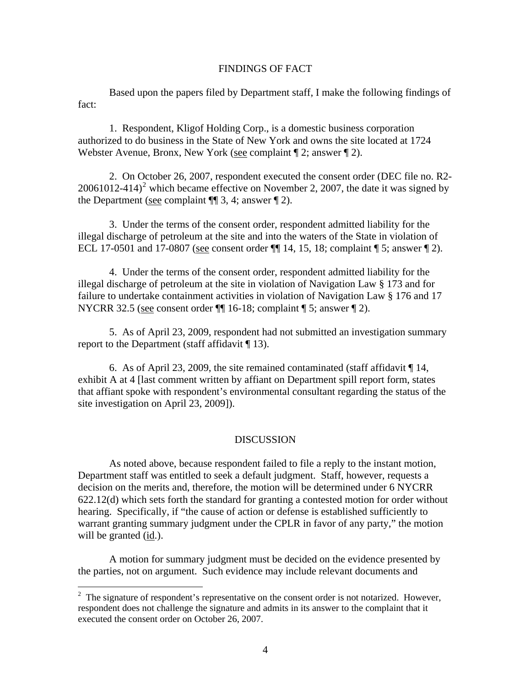### FINDINGS OF FACT

Based upon the papers filed by Department staff, I make the following findings of fact:

1. Respondent, Kligof Holding Corp., is a domestic business corporation authorized to do business in the State of New York and owns the site located at 1724 Webster Avenue, Bronx, New York (see complaint  $\P$  2; answer  $\P$  2).

2. On October 26, 2007, respondent executed the consent order (DEC file no. R2- 20061012-414)<sup>2</sup> which became effective on November 2, 2007, the date it was signed by the Department (see complaint  $\P$  3, 4; answer  $\P$  2).

3. Under the terms of the consent order, respondent admitted liability for the illegal discharge of petroleum at the site and into the waters of the State in violation of ECL 17-0501 and 17-0807 (see consent order  $\P$  14, 15, 18; complaint  $\P$  5; answer  $\P$  2).

4. Under the terms of the consent order, respondent admitted liability for the illegal discharge of petroleum at the site in violation of Navigation Law § 173 and for failure to undertake containment activities in violation of Navigation Law § 176 and 17 NYCRR 32.5 (see consent order  $\P$  16-18; complaint  $\P$  5; answer  $\P$  2).

5. As of April 23, 2009, respondent had not submitted an investigation summary report to the Department (staff affidavit ¶ 13).

6. As of April 23, 2009, the site remained contaminated (staff affidavit ¶ 14, exhibit A at 4 [last comment written by affiant on Department spill report form, states that affiant spoke with respondent's environmental consultant regarding the status of the site investigation on April 23, 2009]).

### DISCUSSION

As noted above, because respondent failed to file a reply to the instant motion, Department staff was entitled to seek a default judgment. Staff, however, requests a decision on the merits and, therefore, the motion will be determined under 6 NYCRR 622.12(d) which sets forth the standard for granting a contested motion for order without hearing. Specifically, if "the cause of action or defense is established sufficiently to warrant granting summary judgment under the CPLR in favor of any party," the motion will be granted  $(id.)$ .

A motion for summary judgment must be decided on the evidence presented by the parties, not on argument. Such evidence may include relevant documents and

 $\overline{a}$ 

 $2^2$  The signature of respondent's representative on the consent order is not notarized. However, respondent does not challenge the signature and admits in its answer to the complaint that it executed the consent order on October 26, 2007.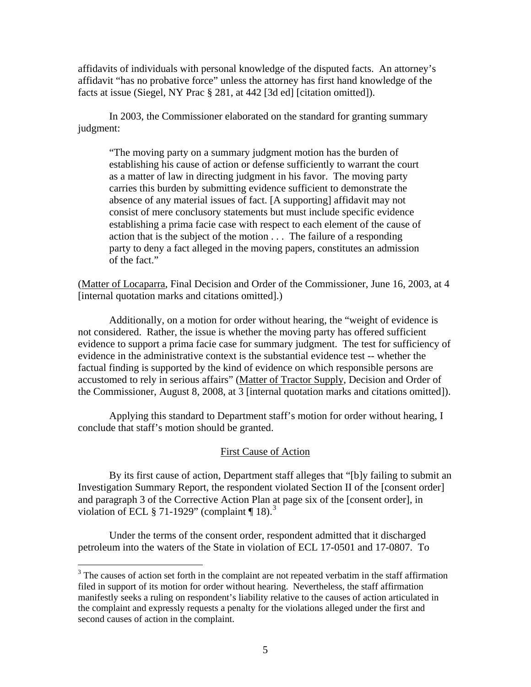affidavits of individuals with personal knowledge of the disputed facts. An attorney's affidavit "has no probative force" unless the attorney has first hand knowledge of the facts at issue (Siegel, NY Prac § 281, at 442 [3d ed] [citation omitted]).

In 2003, the Commissioner elaborated on the standard for granting summary judgment:

"The moving party on a summary judgment motion has the burden of establishing his cause of action or defense sufficiently to warrant the court as a matter of law in directing judgment in his favor. The moving party carries this burden by submitting evidence sufficient to demonstrate the absence of any material issues of fact. [A supporting] affidavit may not consist of mere conclusory statements but must include specific evidence establishing a prima facie case with respect to each element of the cause of action that is the subject of the motion . . . The failure of a responding party to deny a fact alleged in the moving papers, constitutes an admission of the fact."

(Matter of Locaparra, Final Decision and Order of the Commissioner, June 16, 2003, at  $4$ [internal quotation marks and citations omitted].)

Additionally, on a motion for order without hearing, the "weight of evidence is not considered. Rather, the issue is whether the moving party has offered sufficient evidence to support a prima facie case for summary judgment. The test for sufficiency of evidence in the administrative context is the substantial evidence test -- whether the factual finding is supported by the kind of evidence on which responsible persons are accustomed to rely in serious affairs" (Matter of Tractor Supply, Decision and Order of the Commissioner, August 8, 2008, at 3 [internal quotation marks and citations omitted]).

Applying this standard to Department staff's motion for order without hearing, I conclude that staff's motion should be granted.

#### First Cause of Action

By its first cause of action, Department staff alleges that "[b]y failing to submit an Investigation Summary Report, the respondent violated Section II of the [consent order] and paragraph 3 of the Corrective Action Plan at page six of the [consent order], in violation of ECL § 71-1929" (complaint  $\P$  18).<sup>3</sup>

Under the terms of the consent order, respondent admitted that it discharged petroleum into the waters of the State in violation of ECL 17-0501 and 17-0807. To

 $\overline{a}$ 

 $3$  The causes of action set forth in the complaint are not repeated verbatim in the staff affirmation filed in support of its motion for order without hearing. Nevertheless, the staff affirmation manifestly seeks a ruling on respondent's liability relative to the causes of action articulated in the complaint and expressly requests a penalty for the violations alleged under the first and second causes of action in the complaint.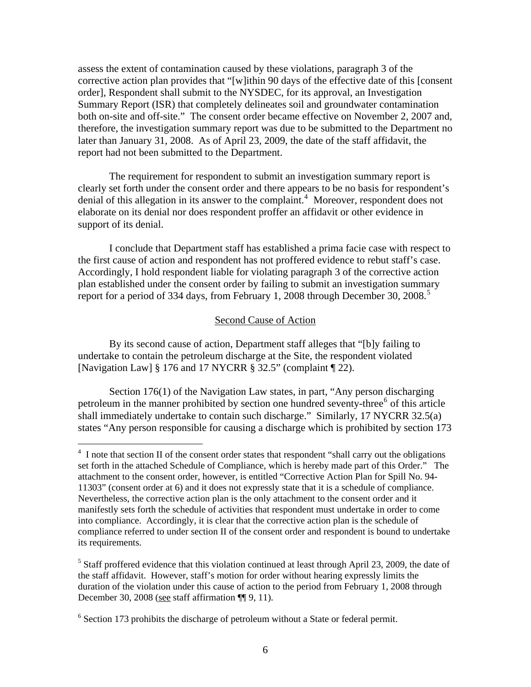assess the extent of contamination caused by these violations, paragraph 3 of the corrective action plan provides that "[w]ithin 90 days of the effective date of this [consent order], Respondent shall submit to the NYSDEC, for its approval, an Investigation Summary Report (ISR) that completely delineates soil and groundwater contamination both on-site and off-site." The consent order became effective on November 2, 2007 and, therefore, the investigation summary report was due to be submitted to the Department no later than January 31, 2008. As of April 23, 2009, the date of the staff affidavit, the report had not been submitted to the Department.

The requirement for respondent to submit an investigation summary report is clearly set forth under the consent order and there appears to be no basis for respondent's denial of this allegation in its answer to the complaint.<sup>4</sup> Moreover, respondent does not elaborate on its denial nor does respondent proffer an affidavit or other evidence in support of its denial.

I conclude that Department staff has established a prima facie case with respect to the first cause of action and respondent has not proffered evidence to rebut staff's case. Accordingly, I hold respondent liable for violating paragraph 3 of the corrective action plan established under the consent order by failing to submit an investigation summary report for a period of 334 days, from February 1, 2008 through December 30, 2008.<sup>5</sup>

#### Second Cause of Action

By its second cause of action, Department staff alleges that "[b]y failing to undertake to contain the petroleum discharge at the Site, the respondent violated [Navigation Law] § 176 and 17 NYCRR § 32.5" (complaint ¶ 22).

Section 176(1) of the Navigation Law states, in part, "Any person discharging petroleum in the manner prohibited by section one hundred seventy-three<sup>6</sup> of this article shall immediately undertake to contain such discharge." Similarly, 17 NYCRR 32.5(a) states "Any person responsible for causing a discharge which is prohibited by section 173

 4 I note that section II of the consent order states that respondent "shall carry out the obligations set forth in the attached Schedule of Compliance, which is hereby made part of this Order." The attachment to the consent order, however, is entitled "Corrective Action Plan for Spill No. 94- 11303" (consent order at 6) and it does not expressly state that it is a schedule of compliance. Nevertheless, the corrective action plan is the only attachment to the consent order and it manifestly sets forth the schedule of activities that respondent must undertake in order to come into compliance. Accordingly, it is clear that the corrective action plan is the schedule of compliance referred to under section II of the consent order and respondent is bound to undertake its requirements.

<sup>&</sup>lt;sup>5</sup> Staff proffered evidence that this violation continued at least through April 23, 2009, the date of the staff affidavit. However, staff's motion for order without hearing expressly limits the duration of the violation under this cause of action to the period from February 1, 2008 through December 30, 2008 (see staff affirmation  $\P\P$  9, 11).

 $6$  Section 173 prohibits the discharge of petroleum without a State or federal permit.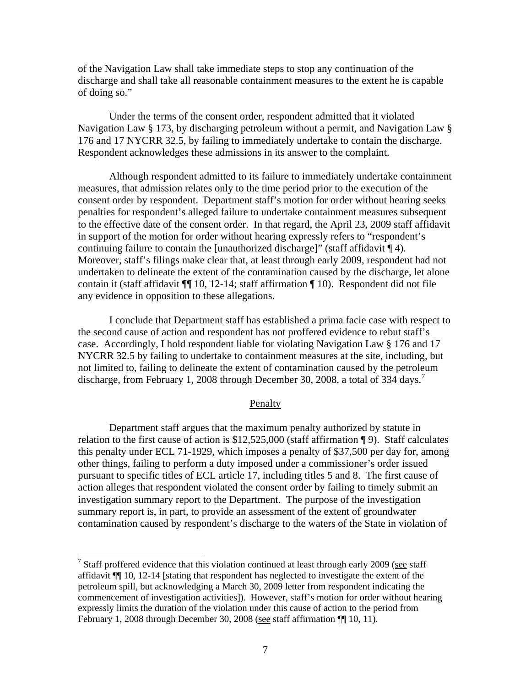of the Navigation Law shall take immediate steps to stop any continuation of the discharge and shall take all reasonable containment measures to the extent he is capable of doing so."

Under the terms of the consent order, respondent admitted that it violated Navigation Law § 173, by discharging petroleum without a permit, and Navigation Law § 176 and 17 NYCRR 32.5, by failing to immediately undertake to contain the discharge. Respondent acknowledges these admissions in its answer to the complaint.

Although respondent admitted to its failure to immediately undertake containment measures, that admission relates only to the time period prior to the execution of the consent order by respondent. Department staff's motion for order without hearing seeks penalties for respondent's alleged failure to undertake containment measures subsequent to the effective date of the consent order. In that regard, the April 23, 2009 staff affidavit in support of the motion for order without hearing expressly refers to "respondent's continuing failure to contain the [unauthorized discharge]" (staff affidavit ¶ 4). Moreover, staff's filings make clear that, at least through early 2009, respondent had not undertaken to delineate the extent of the contamination caused by the discharge, let alone contain it (staff affidavit ¶¶ 10, 12-14; staff affirmation ¶ 10). Respondent did not file any evidence in opposition to these allegations.

I conclude that Department staff has established a prima facie case with respect to the second cause of action and respondent has not proffered evidence to rebut staff's case. Accordingly, I hold respondent liable for violating Navigation Law § 176 and 17 NYCRR 32.5 by failing to undertake to containment measures at the site, including, but not limited to, failing to delineate the extent of contamination caused by the petroleum discharge, from February 1, 2008 through December 30, 2008, a total of 334 days.<sup>7</sup>

#### Penalty

Department staff argues that the maximum penalty authorized by statute in relation to the first cause of action is \$12,525,000 (staff affirmation ¶ 9). Staff calculates this penalty under ECL 71-1929, which imposes a penalty of \$37,500 per day for, among other things, failing to perform a duty imposed under a commissioner's order issued pursuant to specific titles of ECL article 17, including titles 5 and 8. The first cause of action alleges that respondent violated the consent order by failing to timely submit an investigation summary report to the Department. The purpose of the investigation summary report is, in part, to provide an assessment of the extent of groundwater contamination caused by respondent's discharge to the waters of the State in violation of

 $\overline{a}$ 

<sup>&</sup>lt;sup>7</sup> Staff proffered evidence that this violation continued at least through early 2009 (see staff affidavit ¶¶ 10, 12-14 [stating that respondent has neglected to investigate the extent of the petroleum spill, but acknowledging a March 30, 2009 letter from respondent indicating the commencement of investigation activities]). However, staff's motion for order without hearing expressly limits the duration of the violation under this cause of action to the period from February 1, 2008 through December 30, 2008 (see staff affirmation  $\P\P$  10, 11).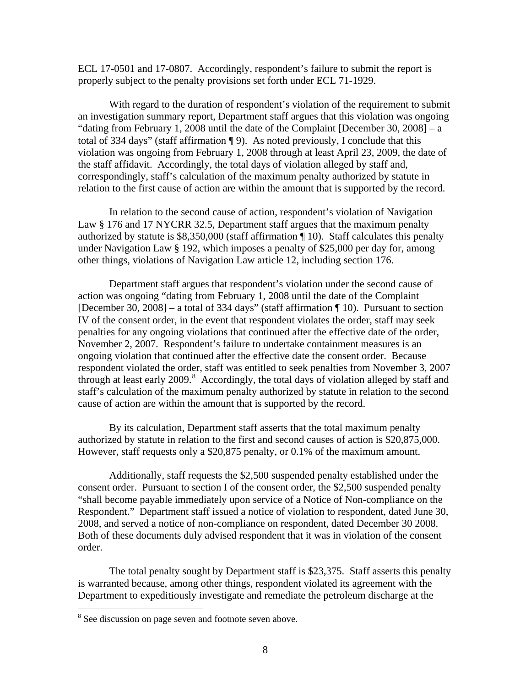ECL 17-0501 and 17-0807. Accordingly, respondent's failure to submit the report is properly subject to the penalty provisions set forth under ECL 71-1929.

With regard to the duration of respondent's violation of the requirement to submit an investigation summary report, Department staff argues that this violation was ongoing "dating from February 1, 2008 until the date of the Complaint [December 30, 2008] – a total of 334 days" (staff affirmation ¶ 9). As noted previously, I conclude that this violation was ongoing from February 1, 2008 through at least April 23, 2009, the date of the staff affidavit. Accordingly, the total days of violation alleged by staff and, correspondingly, staff's calculation of the maximum penalty authorized by statute in relation to the first cause of action are within the amount that is supported by the record.

In relation to the second cause of action, respondent's violation of Navigation Law § 176 and 17 NYCRR 32.5, Department staff argues that the maximum penalty authorized by statute is \$8,350,000 (staff affirmation ¶ 10). Staff calculates this penalty under Navigation Law § 192, which imposes a penalty of \$25,000 per day for, among other things, violations of Navigation Law article 12, including section 176.

Department staff argues that respondent's violation under the second cause of action was ongoing "dating from February 1, 2008 until the date of the Complaint [December 30, 2008] – a total of 334 days" (staff affirmation ¶ 10). Pursuant to section IV of the consent order, in the event that respondent violates the order, staff may seek penalties for any ongoing violations that continued after the effective date of the order, November 2, 2007. Respondent's failure to undertake containment measures is an ongoing violation that continued after the effective date the consent order. Because respondent violated the order, staff was entitled to seek penalties from November 3, 2007 through at least early  $2009$ .<sup>8</sup> Accordingly, the total days of violation alleged by staff and staff's calculation of the maximum penalty authorized by statute in relation to the second cause of action are within the amount that is supported by the record.

By its calculation, Department staff asserts that the total maximum penalty authorized by statute in relation to the first and second causes of action is \$20,875,000. However, staff requests only a \$20,875 penalty, or 0.1% of the maximum amount.

Additionally, staff requests the \$2,500 suspended penalty established under the consent order. Pursuant to section I of the consent order, the \$2,500 suspended penalty "shall become payable immediately upon service of a Notice of Non-compliance on the Respondent." Department staff issued a notice of violation to respondent, dated June 30, 2008, and served a notice of non-compliance on respondent, dated December 30 2008. Both of these documents duly advised respondent that it was in violation of the consent order.

The total penalty sought by Department staff is \$23,375. Staff asserts this penalty is warranted because, among other things, respondent violated its agreement with the Department to expeditiously investigate and remediate the petroleum discharge at the

<u>.</u>

<sup>&</sup>lt;sup>8</sup> See discussion on page seven and footnote seven above.